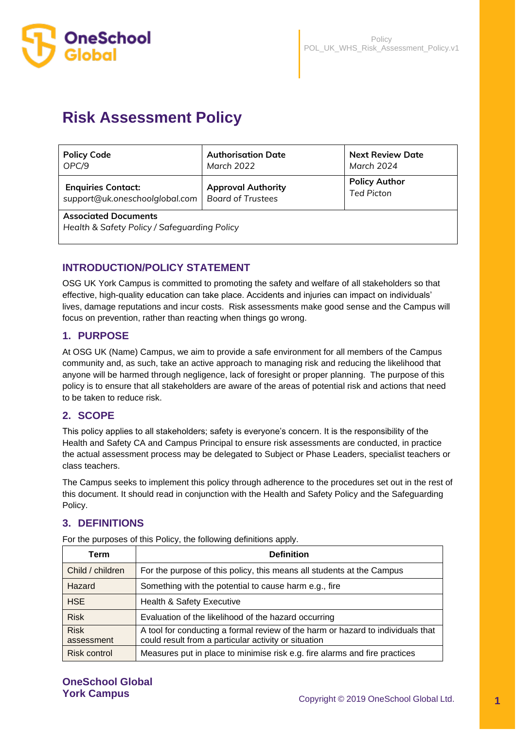

# **Risk Assessment Policy**

| <b>Policy Code</b>                                                          | <b>Authorisation Date</b> | <b>Next Review Date</b> |  |  |
|-----------------------------------------------------------------------------|---------------------------|-------------------------|--|--|
| OPC/9                                                                       | March 2022                | March 2024              |  |  |
| <b>Enquiries Contact:</b>                                                   | <b>Approval Authority</b> | <b>Policy Author</b>    |  |  |
| support@uk.oneschoolglobal.com                                              | <b>Board of Trustees</b>  | <b>Ted Picton</b>       |  |  |
| <b>Associated Documents</b><br>Health & Safety Policy / Safeguarding Policy |                           |                         |  |  |

## **INTRODUCTION/POLICY STATEMENT**

OSG UK York Campus is committed to promoting the safety and welfare of all stakeholders so that effective, high-quality education can take place. Accidents and injuries can impact on individuals' lives, damage reputations and incur costs. Risk assessments make good sense and the Campus will focus on prevention, rather than reacting when things go wrong.

# **1. PURPOSE**

At OSG UK (Name) Campus, we aim to provide a safe environment for all members of the Campus community and, as such, take an active approach to managing risk and reducing the likelihood that anyone will be harmed through negligence, lack of foresight or proper planning. The purpose of this policy is to ensure that all stakeholders are aware of the areas of potential risk and actions that need to be taken to reduce risk.

# **2. SCOPE**

This policy applies to all stakeholders; safety is everyone's concern. It is the responsibility of the Health and Safety CA and Campus Principal to ensure risk assessments are conducted, in practice the actual assessment process may be delegated to Subject or Phase Leaders, specialist teachers or class teachers.

The Campus seeks to implement this policy through adherence to the procedures set out in the rest of this document. It should read in conjunction with the Health and Safety Policy and the Safeguarding Policy.

# **3. DEFINITIONS**

| Term                      | <b>Definition</b>                                                                                                                       |
|---------------------------|-----------------------------------------------------------------------------------------------------------------------------------------|
| Child / children          | For the purpose of this policy, this means all students at the Campus                                                                   |
| Hazard                    | Something with the potential to cause harm e.g., fire                                                                                   |
| <b>HSE</b>                | <b>Health &amp; Safety Executive</b>                                                                                                    |
| <b>Risk</b>               | Evaluation of the likelihood of the hazard occurring                                                                                    |
| <b>Risk</b><br>assessment | A tool for conducting a formal review of the harm or hazard to individuals that<br>could result from a particular activity or situation |
| Risk control              | Measures put in place to minimise risk e.g. fire alarms and fire practices                                                              |

For the purposes of this Policy, the following definitions apply.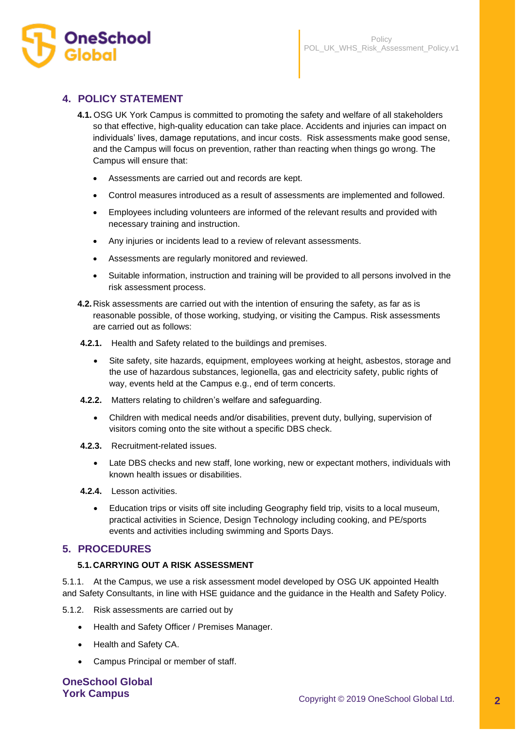

# **4. POLICY STATEMENT**

- **4.1.** OSG UK York Campus is committed to promoting the safety and welfare of all stakeholders so that effective, high-quality education can take place. Accidents and injuries can impact on individuals' lives, damage reputations, and incur costs. Risk assessments make good sense, and the Campus will focus on prevention, rather than reacting when things go wrong. The Campus will ensure that:
	- Assessments are carried out and records are kept.
	- Control measures introduced as a result of assessments are implemented and followed.
	- Employees including volunteers are informed of the relevant results and provided with necessary training and instruction.
	- Any injuries or incidents lead to a review of relevant assessments.
	- Assessments are regularly monitored and reviewed.
	- Suitable information, instruction and training will be provided to all persons involved in the risk assessment process.
- **4.2.**Risk assessments are carried out with the intention of ensuring the safety, as far as is reasonable possible, of those working, studying, or visiting the Campus. Risk assessments are carried out as follows:
- **4.2.1.** Health and Safety related to the buildings and premises.
	- Site safety, site hazards, equipment, employees working at height, asbestos, storage and the use of hazardous substances, legionella, gas and electricity safety, public rights of way, events held at the Campus e.g., end of term concerts.
- **4.2.2.** Matters relating to children's welfare and safeguarding.
	- Children with medical needs and/or disabilities, prevent duty, bullying, supervision of visitors coming onto the site without a specific DBS check.
- **4.2.3.** Recruitment-related issues.
	- Late DBS checks and new staff, lone working, new or expectant mothers, individuals with known health issues or disabilities.
- **4.2.4.** Lesson activities.
	- Education trips or visits off site including Geography field trip, visits to a local museum, practical activities in Science, Design Technology including cooking, and PE/sports events and activities including swimming and Sports Days.

## **5. PROCEDURES**

#### **5.1.CARRYING OUT A RISK ASSESSMENT**

5.1.1. At the Campus, we use a risk assessment model developed by OSG UK appointed Health and Safety Consultants, in line with HSE guidance and the guidance in the Health and Safety Policy.

5.1.2. Risk assessments are carried out by

- Health and Safety Officer / Premises Manager.
- Health and Safety CA.
- Campus Principal or member of staff.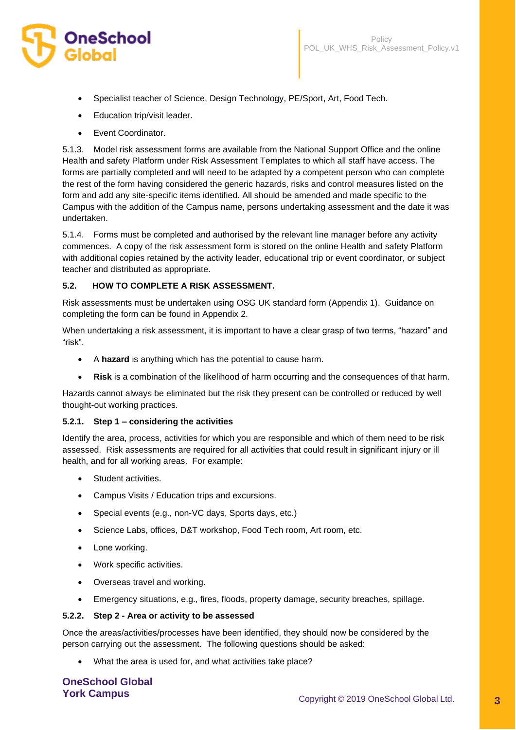

- Specialist teacher of Science, Design Technology, PE/Sport, Art, Food Tech.
- Education trip/visit leader.
- Event Coordinator.

5.1.3. Model risk assessment forms are available from the National Support Office and the online Health and safety Platform under Risk Assessment Templates to which all staff have access. The forms are partially completed and will need to be adapted by a competent person who can complete the rest of the form having considered the generic hazards, risks and control measures listed on the form and add any site-specific items identified. All should be amended and made specific to the Campus with the addition of the Campus name, persons undertaking assessment and the date it was undertaken.

5.1.4. Forms must be completed and authorised by the relevant line manager before any activity commences. A copy of the risk assessment form is stored on the online Health and safety Platform with additional copies retained by the activity leader, educational trip or event coordinator, or subject teacher and distributed as appropriate.

#### **5.2. HOW TO COMPLETE A RISK ASSESSMENT.**

Risk assessments must be undertaken using OSG UK standard form (Appendix 1). Guidance on completing the form can be found in Appendix 2.

When undertaking a risk assessment, it is important to have a clear grasp of two terms, "hazard" and "risk".

- A **hazard** is anything which has the potential to cause harm.
- **Risk** is a combination of the likelihood of harm occurring and the consequences of that harm.

Hazards cannot always be eliminated but the risk they present can be controlled or reduced by well thought-out working practices.

#### **5.2.1. Step 1 – considering the activities**

Identify the area, process, activities for which you are responsible and which of them need to be risk assessed. Risk assessments are required for all activities that could result in significant injury or ill health, and for all working areas. For example:

- Student activities.
- Campus Visits / Education trips and excursions.
- Special events (e.g., non-VC days, Sports days, etc.)
- Science Labs, offices, D&T workshop, Food Tech room, Art room, etc.
- Lone working.
- Work specific activities.
- Overseas travel and working.
- Emergency situations, e.g., fires, floods, property damage, security breaches, spillage.

#### **5.2.2. Step 2 - Area or activity to be assessed**

Once the areas/activities/processes have been identified, they should now be considered by the person carrying out the assessment. The following questions should be asked:

• What the area is used for, and what activities take place?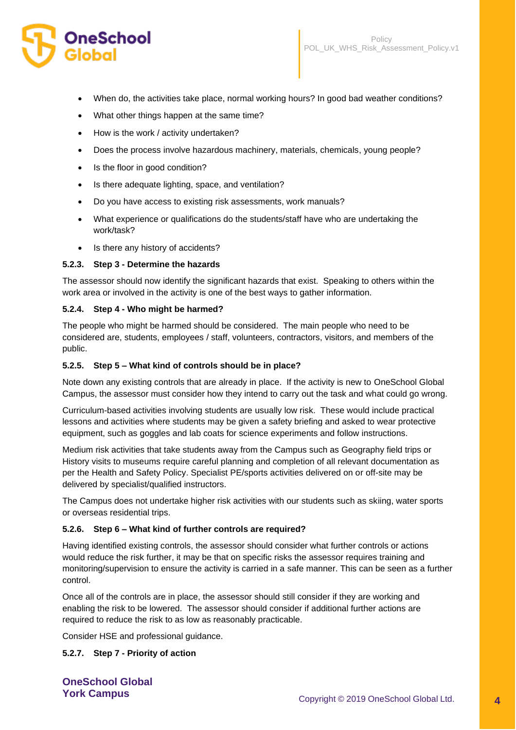# OneSchool

- When do, the activities take place, normal working hours? In good bad weather conditions?
- What other things happen at the same time?
- How is the work / activity undertaken?
- Does the process involve hazardous machinery, materials, chemicals, young people?
- Is the floor in good condition?
- Is there adequate lighting, space, and ventilation?
- Do you have access to existing risk assessments, work manuals?
- What experience or qualifications do the students/staff have who are undertaking the work/task?
- Is there any history of accidents?

#### **5.2.3. Step 3 - Determine the hazards**

The assessor should now identify the significant hazards that exist. Speaking to others within the work area or involved in the activity is one of the best ways to gather information.

#### **5.2.4. Step 4 - Who might be harmed?**

The people who might be harmed should be considered. The main people who need to be considered are, students, employees / staff, volunteers, contractors, visitors, and members of the public.

#### **5.2.5. Step 5 – What kind of controls should be in place?**

Note down any existing controls that are already in place. If the activity is new to OneSchool Global Campus, the assessor must consider how they intend to carry out the task and what could go wrong.

Curriculum-based activities involving students are usually low risk. These would include practical lessons and activities where students may be given a safety briefing and asked to wear protective equipment, such as goggles and lab coats for science experiments and follow instructions.

Medium risk activities that take students away from the Campus such as Geography field trips or History visits to museums require careful planning and completion of all relevant documentation as per the Health and Safety Policy. Specialist PE/sports activities delivered on or off-site may be delivered by specialist/qualified instructors.

The Campus does not undertake higher risk activities with our students such as skiing, water sports or overseas residential trips.

#### **5.2.6. Step 6 – What kind of further controls are required?**

Having identified existing controls, the assessor should consider what further controls or actions would reduce the risk further, it may be that on specific risks the assessor requires training and monitoring/supervision to ensure the activity is carried in a safe manner. This can be seen as a further control.

Once all of the controls are in place, the assessor should still consider if they are working and enabling the risk to be lowered. The assessor should consider if additional further actions are required to reduce the risk to as low as reasonably practicable.

Consider HSE and professional guidance.

#### **5.2.7. Step 7 - Priority of action**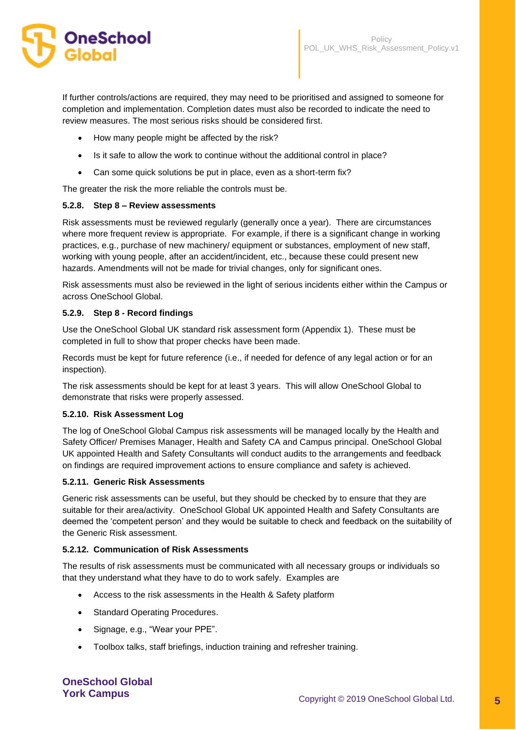

If further controls/actions are required, they may need to be prioritised and assigned to someone for completion and implementation. Completion dates must also be recorded to indicate the need to review measures. The most serious risks should be considered first.

- How many people might be affected by the risk?
- Is it safe to allow the work to continue without the additional control in place?
- Can some quick solutions be put in place, even as a short-term fix?

The greater the risk the more reliable the controls must be.

#### **5.2.8. Step 8 – Review assessments**

Risk assessments must be reviewed regularly (generally once a year). There are circumstances where more frequent review is appropriate. For example, if there is a significant change in working practices, e.g., purchase of new machinery/ equipment or substances, employment of new staff, working with young people, after an accident/incident, etc., because these could present new hazards. Amendments will not be made for trivial changes, only for significant ones.

Risk assessments must also be reviewed in the light of serious incidents either within the Campus or across OneSchool Global.

#### **5.2.9. Step 8 - Record findings**

Use the OneSchool Global UK standard risk assessment form (Appendix 1). These must be completed in full to show that proper checks have been made.

Records must be kept for future reference (i.e., if needed for defence of any legal action or for an inspection).

The risk assessments should be kept for at least 3 years. This will allow OneSchool Global to demonstrate that risks were properly assessed.

#### **5.2.10. Risk Assessment Log**

The log of OneSchool Global Campus risk assessments will be managed locally by the Health and Safety Officer/ Premises Manager, Health and Safety CA and Campus principal. OneSchool Global UK appointed Health and Safety Consultants will conduct audits to the arrangements and feedback on findings are required improvement actions to ensure compliance and safety is achieved.

#### **5.2.11. Generic Risk Assessments**

Generic risk assessments can be useful, but they should be checked by to ensure that they are suitable for their area/activity. OneSchool Global UK appointed Health and Safety Consultants are deemed the 'competent person' and they would be suitable to check and feedback on the suitability of the Generic Risk assessment.

#### **5.2.12. Communication of Risk Assessments**

The results of risk assessments must be communicated with all necessary groups or individuals so that they understand what they have to do to work safely. Examples are

- Access to the risk assessments in the Health & Safety platform
- Standard Operating Procedures.
- Signage, e.g., "Wear your PPE".
- Toolbox talks, staff briefings, induction training and refresher training.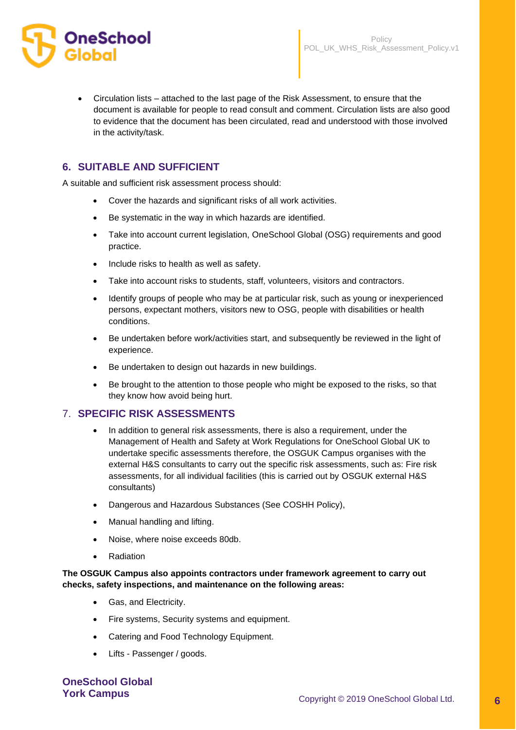

• Circulation lists – attached to the last page of the Risk Assessment, to ensure that the document is available for people to read consult and comment. Circulation lists are also good to evidence that the document has been circulated, read and understood with those involved in the activity/task.

# **6. SUITABLE AND SUFFICIENT**

A suitable and sufficient risk assessment process should:

- Cover the hazards and significant risks of all work activities.
- Be systematic in the way in which hazards are identified.
- Take into account current legislation, OneSchool Global (OSG) requirements and good practice.
- Include risks to health as well as safety.
- Take into account risks to students, staff, volunteers, visitors and contractors.
- Identify groups of people who may be at particular risk, such as young or inexperienced persons, expectant mothers, visitors new to OSG, people with disabilities or health conditions.
- Be undertaken before work/activities start, and subsequently be reviewed in the light of experience.
- Be undertaken to design out hazards in new buildings.
- Be brought to the attention to those people who might be exposed to the risks, so that they know how avoid being hurt.

## 7. **SPECIFIC RISK ASSESSMENTS**

- In addition to general risk assessments, there is also a requirement, under the Management of Health and Safety at Work Regulations for OneSchool Global UK to undertake specific assessments therefore, the OSGUK Campus organises with the external H&S consultants to carry out the specific risk assessments, such as: Fire risk assessments, for all individual facilities (this is carried out by OSGUK external H&S consultants)
- Dangerous and Hazardous Substances (See COSHH Policy),
- Manual handling and lifting.
- Noise, where noise exceeds 80db.
- **Radiation**

#### **The OSGUK Campus also appoints contractors under framework agreement to carry out checks, safety inspections, and maintenance on the following areas:**

- Gas, and Electricity.
- Fire systems, Security systems and equipment.
- Catering and Food Technology Equipment.
- Lifts Passenger / goods.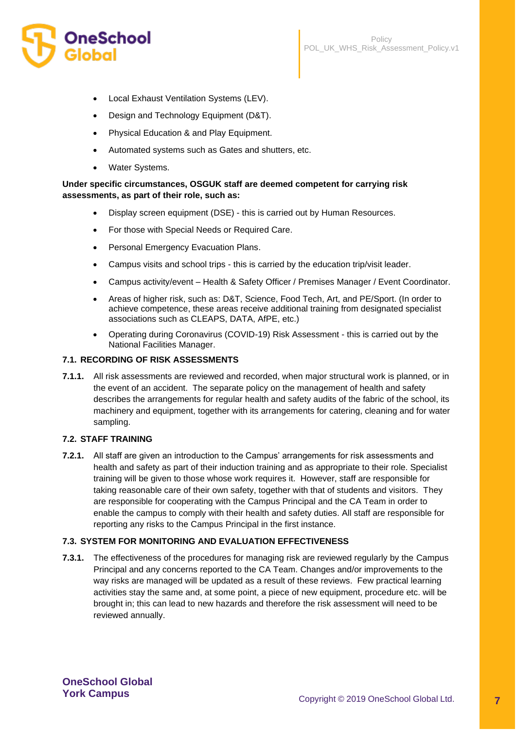

- Local Exhaust Ventilation Systems (LEV).
- Design and Technology Equipment (D&T).
- Physical Education & and Play Equipment.
- Automated systems such as Gates and shutters, etc.
- Water Systems.

#### **Under specific circumstances, OSGUK staff are deemed competent for carrying risk assessments, as part of their role, such as:**

- Display screen equipment (DSE) this is carried out by Human Resources.
- For those with Special Needs or Required Care.
- Personal Emergency Evacuation Plans.
- Campus visits and school trips this is carried by the education trip/visit leader.
- Campus activity/event Health & Safety Officer / Premises Manager / Event Coordinator.
- Areas of higher risk, such as: D&T, Science, Food Tech, Art, and PE/Sport. (In order to achieve competence, these areas receive additional training from designated specialist associations such as CLEAPS, DATA, AfPE, etc.)
- Operating during Coronavirus (COVID-19) Risk Assessment this is carried out by the National Facilities Manager.

#### **7.1. RECORDING OF RISK ASSESSMENTS**

**7.1.1.** All risk assessments are reviewed and recorded, when major structural work is planned, or in the event of an accident. The separate policy on the management of health and safety describes the arrangements for regular health and safety audits of the fabric of the school, its machinery and equipment, together with its arrangements for catering, cleaning and for water sampling.

#### **7.2. STAFF TRAINING**

**7.2.1.** All staff are given an introduction to the Campus' arrangements for risk assessments and health and safety as part of their induction training and as appropriate to their role. Specialist training will be given to those whose work requires it. However, staff are responsible for taking reasonable care of their own safety, together with that of students and visitors. They are responsible for cooperating with the Campus Principal and the CA Team in order to enable the campus to comply with their health and safety duties. All staff are responsible for reporting any risks to the Campus Principal in the first instance.

#### **7.3. SYSTEM FOR MONITORING AND EVALUATION EFFECTIVENESS**

**7.3.1.** The effectiveness of the procedures for managing risk are reviewed regularly by the Campus Principal and any concerns reported to the CA Team. Changes and/or improvements to the way risks are managed will be updated as a result of these reviews. Few practical learning activities stay the same and, at some point, a piece of new equipment, procedure etc. will be brought in; this can lead to new hazards and therefore the risk assessment will need to be reviewed annually.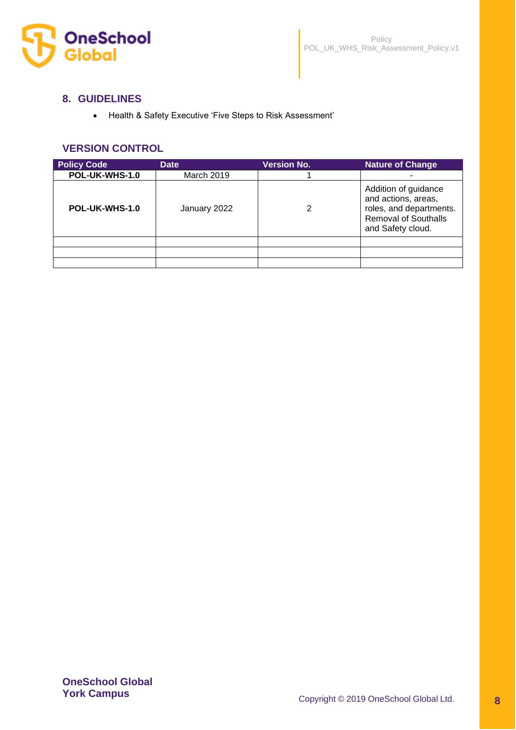

## **8. GUIDELINES**

• Health & Safety Executive 'Five Steps to Risk Assessment'

## **VERSION CONTROL**

| <b>Policy Code</b> | <b>Date</b>  | <b>Version No.</b> | <b>Nature of Change</b>                                                                                                    |
|--------------------|--------------|--------------------|----------------------------------------------------------------------------------------------------------------------------|
| POL-UK-WHS-1.0     | March 2019   |                    |                                                                                                                            |
| POL-UK-WHS-1.0     | January 2022 | 2                  | Addition of guidance<br>and actions, areas,<br>roles, and departments.<br><b>Removal of Southalls</b><br>and Safety cloud. |
|                    |              |                    |                                                                                                                            |
|                    |              |                    |                                                                                                                            |
|                    |              |                    |                                                                                                                            |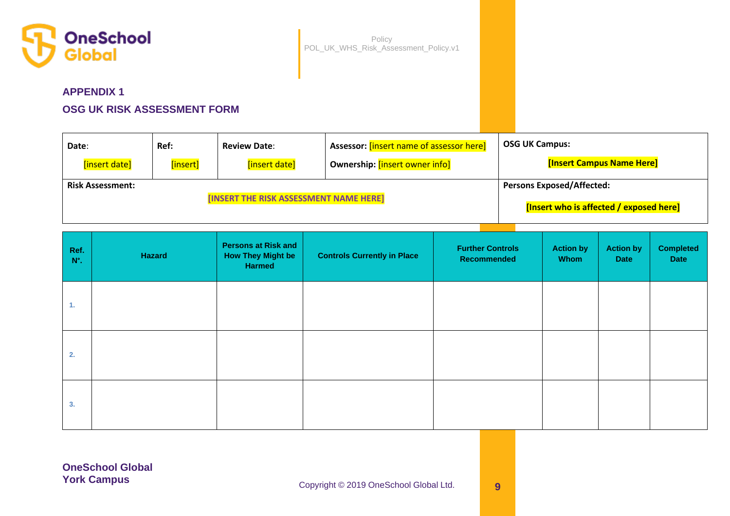

# **APPENDIX 1**

# **OSG UK RISK ASSESSMENT FORM**

| Date:                   | Ref:     | <b>Review Date:</b>                    | <sup>1</sup> Assessor: [insert name of assessor here] | <b>OSG UK Campus:</b>                   |
|-------------------------|----------|----------------------------------------|-------------------------------------------------------|-----------------------------------------|
| [insert date]           | [insert] | [insert date]                          | Ownership: [insert owner info]                        | <b>[Insert Campus Name Here]</b>        |
| <b>Risk Assessment:</b> |          |                                        |                                                       | <b>Persons Exposed/Affected:</b>        |
|                         |          | [INSERT THE RISK ASSESSMENT NAME HERE] |                                                       | [Insert who is affected / exposed here] |

| Ref.<br>$N^\circ$ . | Hazard | <b>Persons at Risk and</b><br><b>How They Might be</b><br>Harmed | <b>Controls Currently in Place</b> | <b>Further Controls</b><br>Recommended | <b>Action by</b><br>Whom | <b>Action by</b><br><b>Date</b> | <b>Completed</b><br>Date |
|---------------------|--------|------------------------------------------------------------------|------------------------------------|----------------------------------------|--------------------------|---------------------------------|--------------------------|
| 1.                  |        |                                                                  |                                    |                                        |                          |                                 |                          |
| 2.                  |        |                                                                  |                                    |                                        |                          |                                 |                          |
| 3.                  |        |                                                                  |                                    |                                        |                          |                                 |                          |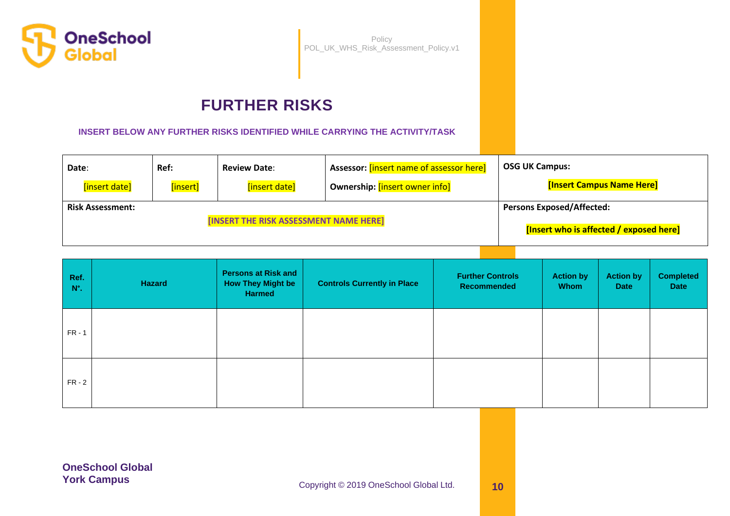

# **FURTHER RISKS**

**INSERT BELOW ANY FURTHER RISKS IDENTIFIED WHILE CARRYING THE ACTIVITY/TASK**

| Date:                                  | Ref:     | <b>Review Date:</b> | Assessor: [insert name of assessor here] | <b>OSG UK Campus:</b>            |
|----------------------------------------|----------|---------------------|------------------------------------------|----------------------------------|
| [insert date]                          | [insert] | [insert date]       | Ownership: [insert owner info]           | <b>[Insert Campus Name Here]</b> |
| <b>Risk Assessment:</b>                |          |                     |                                          | <b>Persons Exposed/Affected:</b> |
| [INSERT THE RISK ASSESSMENT NAME HERE] |          |                     | [Insert who is affected / exposed here]  |                                  |

| Ref.<br>$N^\circ$ . | <b>Hazard</b> | <b>Persons at Risk and</b><br><b>How They Might be</b><br><b>Harmed</b> | <b>Controls Currently in Place</b> | <b>Further Controls</b><br>Recommended | <b>Action by</b><br><b>Whom</b> | <b>Action by</b><br><b>Date</b> | <b>Completed</b><br><b>Date</b> |
|---------------------|---------------|-------------------------------------------------------------------------|------------------------------------|----------------------------------------|---------------------------------|---------------------------------|---------------------------------|
| $FR - 1$            |               |                                                                         |                                    |                                        |                                 |                                 |                                 |
| $FR - 2$            |               |                                                                         |                                    |                                        |                                 |                                 |                                 |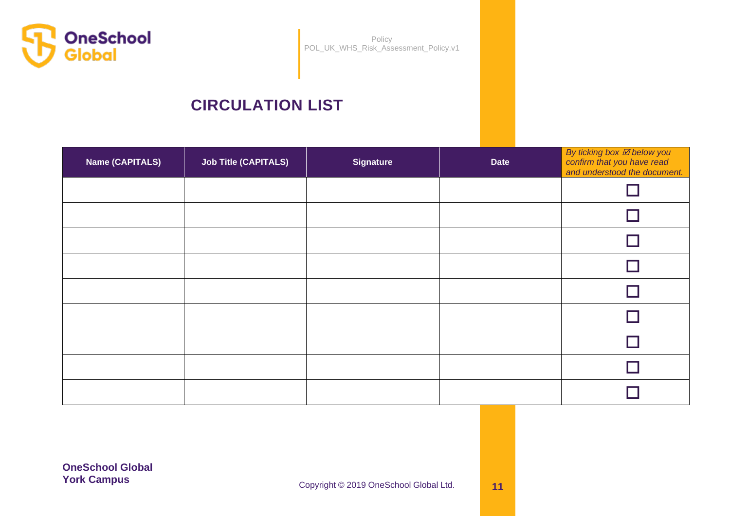

# **CIRCULATION LIST**

| <b>Name (CAPITALS)</b> | <b>Job Title (CAPITALS)</b> | <b>Signature</b> | <b>Date</b> | By ticking box Ø below you<br>confirm that you have read<br>and understood the document. |
|------------------------|-----------------------------|------------------|-------------|------------------------------------------------------------------------------------------|
|                        |                             |                  |             |                                                                                          |
|                        |                             |                  |             |                                                                                          |
|                        |                             |                  |             |                                                                                          |
|                        |                             |                  |             |                                                                                          |
|                        |                             |                  |             |                                                                                          |
|                        |                             |                  |             |                                                                                          |
|                        |                             |                  |             |                                                                                          |
|                        |                             |                  |             |                                                                                          |
|                        |                             |                  |             |                                                                                          |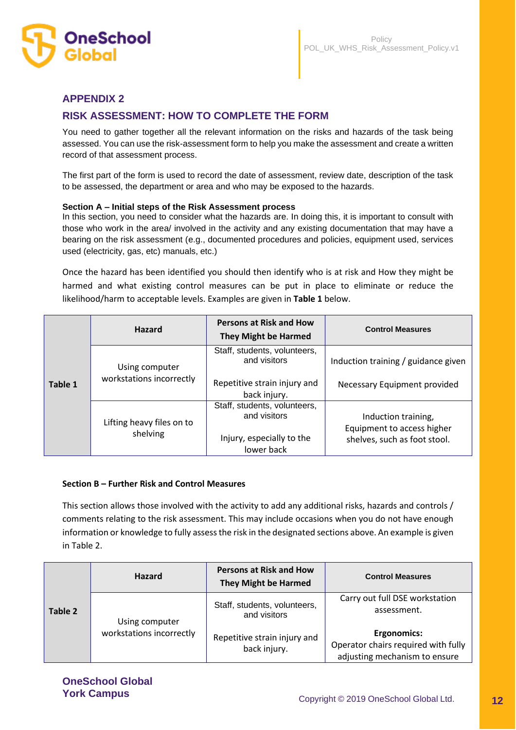

# **APPENDIX 2**

# **RISK ASSESSMENT: HOW TO COMPLETE THE FORM**

You need to gather together all the relevant information on the risks and hazards of the task being assessed. You can use the risk-assessment form to help you make the assessment and create a written record of that assessment process.

The first part of the form is used to record the date of assessment, review date, description of the task to be assessed, the department or area and who may be exposed to the hazards.

#### **Section A – Initial steps of the Risk Assessment process**

In this section, you need to consider what the hazards are. In doing this, it is important to consult with those who work in the area/ involved in the activity and any existing documentation that may have a bearing on the risk assessment (e.g., documented procedures and policies, equipment used, services used (electricity, gas, etc) manuals, etc.)

Once the hazard has been identified you should then identify who is at risk and How they might be harmed and what existing control measures can be put in place to eliminate or reduce the likelihood/harm to acceptable levels. Examples are given in **Table 1** below.

|         | <b>Hazard</b>                              | <b>Persons at Risk and How</b><br><b>They Might be Harmed</b>                                | <b>Control Measures</b>                                                           |
|---------|--------------------------------------------|----------------------------------------------------------------------------------------------|-----------------------------------------------------------------------------------|
| Table 1 | Using computer<br>workstations incorrectly | Staff, students, volunteers,<br>and visitors<br>Repetitive strain injury and<br>back injury. | Induction training / guidance given<br>Necessary Equipment provided               |
|         | Lifting heavy files on to<br>shelving      | Staff, students, volunteers,<br>and visitors<br>Injury, especially to the<br>lower back      | Induction training,<br>Equipment to access higher<br>shelves, such as foot stool. |

#### **Section B – Further Risk and Control Measures**

This section allows those involved with the activity to add any additional risks, hazards and controls / comments relating to the risk assessment. This may include occasions when you do not have enough information or knowledge to fully assess the risk in the designated sections above. An example is given in Table 2.

|         | <b>Hazard</b>                              | <b>Persons at Risk and How</b><br><b>They Might be Harmed</b> | <b>Control Measures</b>                                                                    |
|---------|--------------------------------------------|---------------------------------------------------------------|--------------------------------------------------------------------------------------------|
| Table 2 | Using computer<br>workstations incorrectly | Staff, students, volunteers,<br>and visitors                  | Carry out full DSE workstation<br>assessment.                                              |
|         |                                            | Repetitive strain injury and<br>back injury.                  | <b>Ergonomics:</b><br>Operator chairs required with fully<br>adjusting mechanism to ensure |